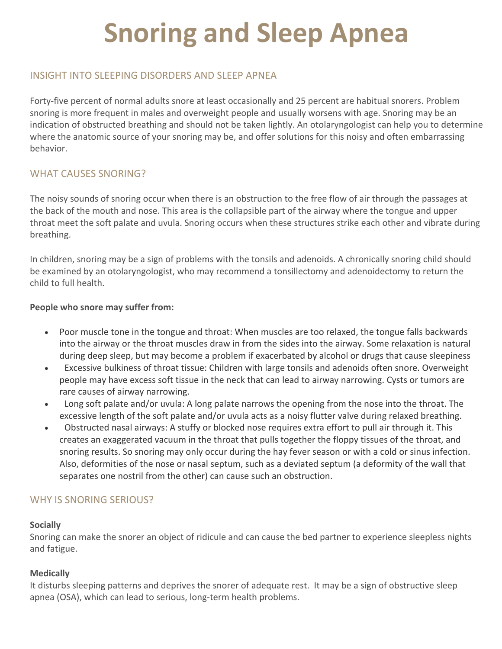# **Snoring and Sleep Apnea**

# INSIGHT INTO SLEEPING DISORDERS AND SLEEP APNEA

Forty-five percent of normal adults snore at least occasionally and 25 percent are habitual snorers. Problem snoring is more frequent in males and overweight people and usually worsens with age. Snoring may be an indication of obstructed breathing and should not be taken lightly. An otolaryngologist can help you to determine where the anatomic source of your snoring may be, and offer solutions for this noisy and often embarrassing behavior.

# WHAT CAUSES SNORING?

The noisy sounds of snoring occur when there is an obstruction to the free flow of air through the passages at the back of the mouth and nose. This area is the collapsible part of the airway where the tongue and upper throat meet the soft palate and uvula. Snoring occurs when these structures strike each other and vibrate during breathing.

In children, snoring may be a sign of problems with the tonsils and adenoids. A chronically snoring child should be examined by an otolaryngologist, who may recommend a tonsillectomy and adenoidectomy to return the child to full health.

#### **People who snore may suffer from:**

- Poor muscle tone in the tongue and throat: When muscles are too relaxed, the tongue falls backwards into the airway or the throat muscles draw in from the sides into the airway. Some relaxation is natural during deep sleep, but may become a problem if exacerbated by alcohol or drugs that cause sleepiness
- Excessive bulkiness of throat tissue: Children with large tonsils and adenoids often snore. Overweight people may have excess soft tissue in the neck that can lead to airway narrowing. Cysts or tumors are rare causes of airway narrowing.
- Long soft palate and/or uvula: A long palate narrows the opening from the nose into the throat. The excessive length of the soft palate and/or uvula acts as a noisy flutter valve during relaxed breathing.
- Obstructed nasal airways: A stuffy or blocked nose requires extra effort to pull air through it. This creates an exaggerated vacuum in the throat that pulls together the floppy tissues of the throat, and snoring results. So snoring may only occur during the hay fever season or with a cold or sinus infection. Also, deformities of the nose or nasal septum, such as a deviated septum (a deformity of the wall that separates one nostril from the other) can cause such an obstruction.

## WHY IS SNORING SERIOUS?

#### **Socially**

Snoring can make the snorer an object of ridicule and can cause the bed partner to experience sleepless nights and fatigue.

#### **Medically**

It disturbs sleeping patterns and deprives the snorer of adequate rest. It may be a sign of obstructive sleep apnea (OSA), which can lead to serious, long-term health problems.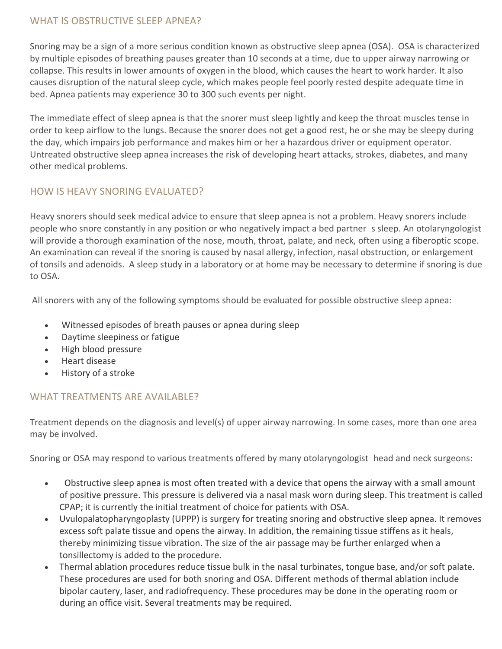## WHAT IS OBSTRUCTIVE SLEEP APNEA?

Snoring may be a sign of a more serious condition known as obstructive sleep apnea (OSA). OSA is characterized by multiple episodes of breathing pauses greater than 10 seconds at a time, due to upper airway narrowing or collapse. This results in lower amounts of oxygen in the blood, which causes the heart to work harder. It also causes disruption of the natural sleep cycle, which makes people feel poorly rested despite adequate time in bed. Apnea patients may experience 30 to 300 such events per night.

The immediate effect of sleep apnea is that the snorer must sleep lightly and keep the throat muscles tense in order to keep airflow to the lungs. Because the snorer does not get a good rest, he or she may be sleepy during the day, which impairs job performance and makes him or her a hazardous driver or equipment operator. Untreated obstructive sleep apnea increases the risk of developing heart attacks, strokes, diabetes, and many other medical problems.

# HOW IS HEAVY SNORING EVALUATED?

Heavy snorers should seek medical advice to ensure that sleep apnea is not a problem. Heavy snorers include people who snore constantly in any position or who negatively impact a bed partner s sleep. An otolaryngologist will provide a thorough examination of the nose, mouth, throat, palate, and neck, often using a fiberoptic scope. An examination can reveal if the snoring is caused by nasal allergy, infection, nasal obstruction, or enlargement of tonsils and adenoids. A sleep study in a laboratory or at home may be necessary to determine if snoring is due to OSA.

All snorers with any of the following symptoms should be evaluated for possible obstructive sleep apnea:

- Witnessed episodes of breath pauses or apnea during sleep
- Daytime sleepiness or fatigue
- High blood pressure
- Heart disease
- History of a stroke

## WHAT TREATMENTS ARE AVAILABLE?

Treatment depends on the diagnosis and level(s) of upper airway narrowing. In some cases, more than one area may be involved.

Snoring or OSA may respond to various treatments offered by many otolaryngologist head and neck surgeons:

- Obstructive sleep apnea is most often treated with a device that opens the airway with a small amount of positive pressure. This pressure is delivered via a nasal mask worn during sleep. This treatment is called CPAP; it is currently the initial treatment of choice for patients with OSA.
- Uvulopalatopharyngoplasty (UPPP) is surgery for treating snoring and obstructive sleep apnea. It removes excess soft palate tissue and opens the airway. In addition, the remaining tissue stiffens as it heals, thereby minimizing tissue vibration. The size of the air passage may be further enlarged when a tonsillectomy is added to the procedure.
- Thermal ablation procedures reduce tissue bulk in the nasal turbinates, tongue base, and/or soft palate. These procedures are used for both snoring and OSA. Different methods of thermal ablation include bipolar cautery, laser, and radiofrequency. These procedures may be done in the operating room or during an office visit. Several treatments may be required.